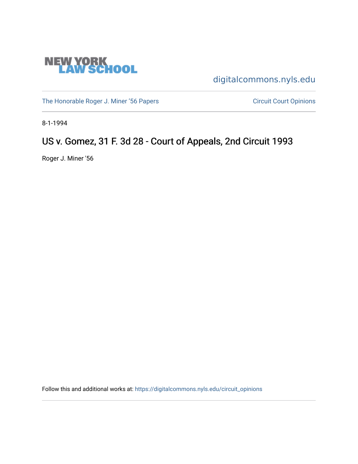

[digitalcommons.nyls.edu](https://digitalcommons.nyls.edu/) 

[The Honorable Roger J. Miner '56 Papers](https://digitalcommons.nyls.edu/miner_papers) Circuit Court Opinions

8-1-1994

# US v. Gomez, 31 F. 3d 28 - Court of Appeals, 2nd Circuit 1993

Roger J. Miner '56

Follow this and additional works at: [https://digitalcommons.nyls.edu/circuit\\_opinions](https://digitalcommons.nyls.edu/circuit_opinions?utm_source=digitalcommons.nyls.edu%2Fcircuit_opinions%2F405&utm_medium=PDF&utm_campaign=PDFCoverPages)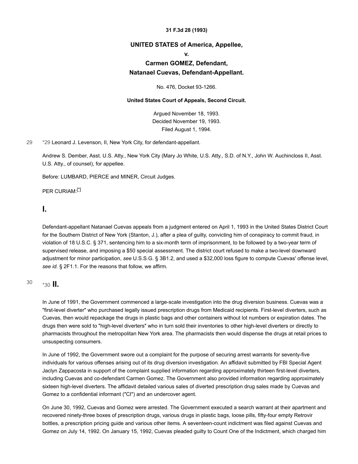#### **31 F.3d 28 (1993)**

#### **UNITED STATES of America, Appellee,**

#### **v.**

### **Carmen GOMEZ, Defendant, Natanael Cuevas, Defendant-Appellant.**

No. 476, Docket 93-1266.

#### **United States Court of Appeals, Second Circuit.**

Argued November 18, 1993. Decided November 19, 1993. Filed August 1, 1994.

[29](#page-1-0) [\\*29](#page-1-0) Leonard J. Levenson, II, New York City, for defendant-appellant.

<span id="page-1-0"></span>Andrew S. Dember, Asst. U.S. Atty., New York City (Mary Jo White, U.S. Atty., S.D. of N.Y., John W. Auchincloss II, Asst. U.S. Atty., of counsel), for appellee.

Before: LUMBARD, PIERCE and MINER, Circuit Judges.

<span id="page-1-2"></span>PER CURIAM:[\[\\*\]](#page-3-0)

### **I.**

Defendant-appellant Natanael Cuevas appeals from a judgment entered on April 1, 1993 in the United States District Court for the Southern District of New York (Stanton, J.), after a plea of guilty, convicting him of conspiracy to commit fraud, in violation of 18 U.S.C. § 371, sentencing him to a six-month term of imprisonment, to be followed by a two-year term of supervised release, and imposing a \$50 special assessment. The district court refused to make a two-level downward adjustment for minor participation, *see* U.S.S.G. § 3B1.2, and used a \$32,000 loss figure to compute Cuevas' offense level, *see id.* § 2F1.1. For the reasons that follow, we affirm.

### <span id="page-1-1"></span> $^{30}$  $^{30}$  $^{30}$   $\star$  30 **II.**

In June of 1991, the Government commenced a large-scale investigation into the drug diversion business. Cuevas was a "first-level diverter" who purchased legally issued prescription drugs from Medicaid recipients. First-level diverters, such as Cuevas, then would repackage the drugs in plastic bags and other containers without lot numbers or expiration dates. The drugs then were sold to "high-level diverters" who in turn sold their inventories to other high-level diverters or directly to pharmacists throughout the metropolitan New York area. The pharmacists then would dispense the drugs at retail prices to unsuspecting consumers.

In June of 1992, the Government swore out a complaint for the purpose of securing arrest warrants for seventy-five individuals for various offenses arising out of its drug diversion investigation. An affidavit submitted by FBI Special Agent Jaclyn Zappacosta in support of the complaint supplied information regarding approximately thirteen first-level diverters, including Cuevas and co-defendant Carmen Gomez. The Government also provided information regarding approximately sixteen high-level diverters. The affidavit detailed various sales of diverted prescription drug sales made by Cuevas and Gomez to a confidential informant ("CI") and an undercover agent.

On June 30, 1992, Cuevas and Gomez were arrested. The Government executed a search warrant at their apartment and recovered ninety-three boxes of prescription drugs, various drugs in plastic bags, loose pills, fifty-four empty Retrovir bottles, a prescription pricing guide and various other items. A seventeen-count indictment was filed against Cuevas and Gomez on July 14, 1992. On January 15, 1992, Cuevas pleaded guilty to Count One of the Indictment, which charged him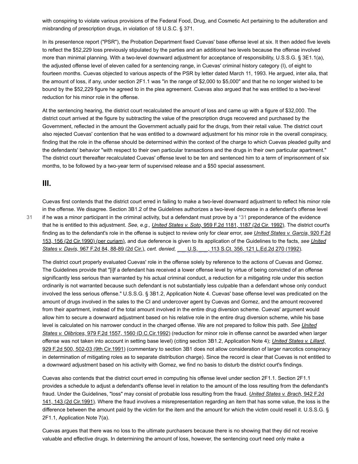with conspiring to violate various provisions of the Federal Food, Drug, and Cosmetic Act pertaining to the adulteration and misbranding of prescription drugs, in violation of 18 U.S.C. § 371.

In its presentence report ("PSR"), the Probation Department fixed Cuevas' base offense level at six. It then added five levels to reflect the \$52,229 loss previously stipulated by the parties and an additional two levels because the offense involved more than minimal planning. With a two-level downward adjustment for acceptance of responsibility, U.S.S.G. § 3E1.1(a), the adjusted offense level of eleven called for a sentencing range, in Cuevas' criminal history category (I), of eight to fourteen months. Cuevas objected to various aspects of the PSR by letter dated March 11, 1993. He argued, inter alia, that the amount of loss, if any, under section 2F1.1 was "in the range of \$2,000 to \$5,000" and that he no longer wished to be bound by the \$52,229 figure he agreed to in the plea agreement. Cuevas also argued that he was entitled to a two-level reduction for his minor role in the offense.

At the sentencing hearing, the district court recalculated the amount of loss and came up with a figure of \$32,000. The district court arrived at the figure by subtracting the value of the prescription drugs recovered and purchased by the Government, reflected in the amount the Government actually paid for the drugs, from their retail value. The district court also rejected Cuevas' contention that he was entitled to a downward adjustment for his minor role in the overall conspiracy, finding that the role in the offense should be determined within the context of the charge to which Cuevas pleaded guilty and the defendants' behavior "with respect to their own particular transactions and the drugs in their own particular apartment." The district court thereafter recalculated Cuevas' offense level to be ten and sentenced him to a term of imprisonment of six months, to be followed by a two-year term of supervised release and a \$50 special assessment.

### **III.**

[31](#page-2-0)

<span id="page-2-0"></span>Cuevas first contends that the district court erred in failing to make a two-level downward adjustment to reflect his minor role in the offense. We disagree. Section 3B1.2 of the Guidelines authorizes a two-level decrease in a defendant's offense level if he was a minor participant in the criminal activity, but a defendant must prove by a  $*31$  preponderance of the evidence that he is entitled to this adjustment. *See, e.g., United States v. Soto,* [959 F.2d 1181, 1187 \(2d Cir. 1992\).](https://scholar.google.com/scholar_case?case=4770214365773944587&q=93-1266&hl=en&as_sdt=6,31) The district court's finding as to the defendant's role in the offense is subject to review only for clear error, *see United States v. Garcia,* 920 F.2d [153, 156 \(2d Cir.1990\) \(per curiam\), and due deference is given to its application of the Guidelines to the facts,](https://scholar.google.com/scholar_case?case=3168375514729824192&q=93-1266&hl=en&as_sdt=6,31) *see United States v. Davis,* 967 F.2d 84, 88-89 (2d Cir.), *cert. denied,* [\\_\\_\\_ U.S. \\_\\_\\_, 113 S.Ct. 356, 121 L.Ed.2d 270 \(1992\).](https://scholar.google.com/scholar_case?about=1115775484020864697&q=93-1266&hl=en&as_sdt=6,31)

The district court properly evaluated Cuevas' role in the offense solely by reference to the actions of Cuevas and Gomez. The Guidelines provide that "[i]f a defendant has received a lower offense level by virtue of being convicted of an offense significantly less serious than warranted by his actual criminal conduct, a reduction for a mitigating role under this section ordinarily is not warranted because such defendant is not substantially less culpable than a defendant whose only conduct involved the less serious offense." U.S.S.G. § 3B1.2, Application Note 4. Cuevas' base offense level was predicated on the amount of drugs involved in the sales to the CI and undercover agent by Cuevas and Gomez, and the amount recovered from their apartment, instead of the total amount involved in the entire drug diversion scheme. Cuevas' argument would allow him to secure a downward adjustment based on his relative role in the entire drug diversion scheme, while his base [level is calculated on his narrower conduct in the charged offense. We are not prepared to follow this path.](https://scholar.google.com/scholar_case?case=4675076598951425203&q=93-1266&hl=en&as_sdt=6,31) *See United States v. Olibrices,* 979 F.2d 1557, 1560 (D.C.Cir.1992) (reduction for minor role in offense cannot be awarded when larger offense was not taken into account in setting base level) (citing section 3B1.2, Application Note 4); *United States v. Lillard,* [929 F.2d 500, 502-03 \(9th Cir.1991\) \(commentary to section 3B1 does not allow consideration of larger narcotics conspirac](https://scholar.google.com/scholar_case?case=17682234295996612480&q=93-1266&hl=en&as_sdt=6,31)y in determination of mitigating roles as to separate distribution charge). Since the record is clear that Cuevas is not entitled to a downward adjustment based on his activity with Gomez, we find no basis to disturb the district court's findings.

Cuevas also contends that the district court erred in computing his offense level under section 2F1.1. Section 2F1.1 provides a schedule to adjust a defendant's offense level in relation to the amount of the loss resulting from the defendant's fraud. Under the Guidelines, "loss" may consist of probable loss resulting from the fraud. *United States v. Brach,* 942 F.2d [141, 143 \(2d Cir.1991\). Where the fraud involves a misrepresentation regarding an item that has some value, the loss is th](https://scholar.google.com/scholar_case?case=16023788466814454436&q=93-1266&hl=en&as_sdt=6,31)e difference between the amount paid by the victim for the item and the amount for which the victim could resell it. U.S.S.G. § 2F1.1, Application Note 7(a).

Cuevas argues that there was no loss to the ultimate purchasers because there is no showing that they did not receive valuable and effective drugs. In determining the amount of loss, however, the sentencing court need only make a